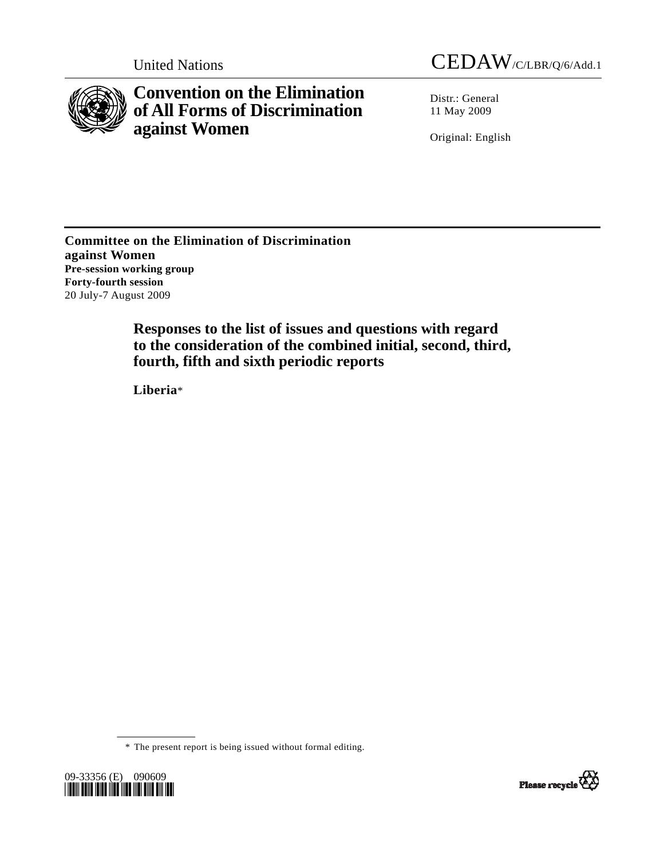



**Convention on the Elimination of All Forms of Discrimination against Women** 

Distr.: General 11 May 2009

Original: English

**Committee on the Elimination of Discrimination against Women Pre-session working group Forty-fourth session**  20 July-7 August 2009

> **Responses to the list of issues and questions with regard to the consideration of the combined initial, second, third, fourth, fifth and sixth periodic reports**

 **Liberia**\*

\* The present report is being issued without formal editing.



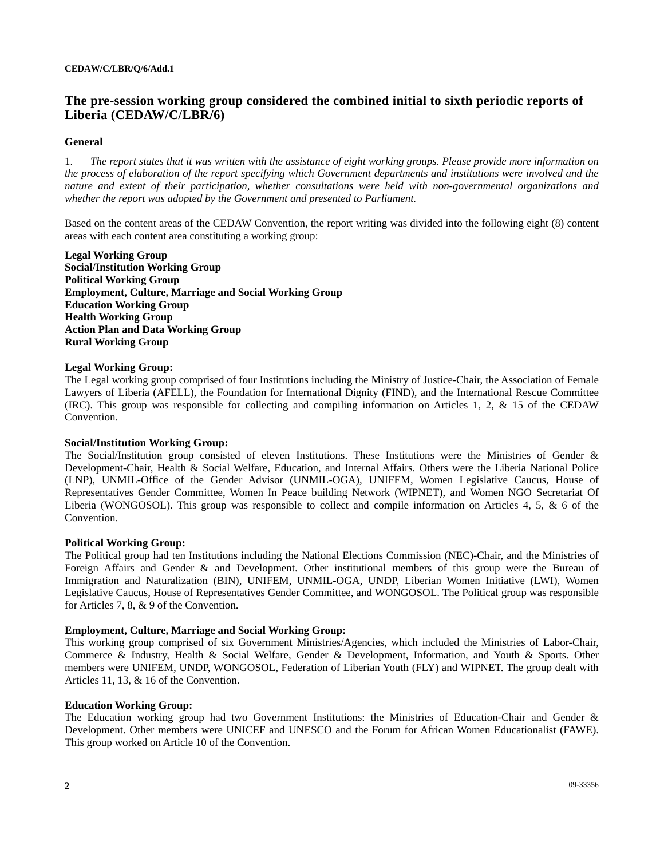# **The pre-session working group considered the combined initial to sixth periodic reports of Liberia (CEDAW/C/LBR/6)**

# **General**

1. *The report states that it was written with the assistance of eight working groups. Please provide more information on the process of elaboration of the report specifying which Government departments and institutions were involved and the nature and extent of their participation, whether consultations were held with non-governmental organizations and whether the report was adopted by the Government and presented to Parliament.* 

Based on the content areas of the CEDAW Convention, the report writing was divided into the following eight (8) content areas with each content area constituting a working group:

**Legal Working Group Social/Institution Working Group Political Working Group Employment, Culture, Marriage and Social Working Group Education Working Group Health Working Group Action Plan and Data Working Group Rural Working Group** 

#### **Legal Working Group:**

The Legal working group comprised of four Institutions including the Ministry of Justice-Chair, the Association of Female Lawyers of Liberia (AFELL), the Foundation for International Dignity (FIND), and the International Rescue Committee (IRC). This group was responsible for collecting and compiling information on Articles 1, 2, & 15 of the CEDAW Convention.

# **Social/Institution Working Group:**

The Social/Institution group consisted of eleven Institutions. These Institutions were the Ministries of Gender & Development-Chair, Health & Social Welfare, Education, and Internal Affairs. Others were the Liberia National Police (LNP), UNMIL-Office of the Gender Advisor (UNMIL-OGA), UNIFEM, Women Legislative Caucus, House of Representatives Gender Committee, Women In Peace building Network (WIPNET), and Women NGO Secretariat Of Liberia (WONGOSOL). This group was responsible to collect and compile information on Articles 4, 5, & 6 of the Convention.

# **Political Working Group:**

The Political group had ten Institutions including the National Elections Commission (NEC)-Chair, and the Ministries of Foreign Affairs and Gender & and Development. Other institutional members of this group were the Bureau of Immigration and Naturalization (BIN), UNIFEM, UNMIL-OGA, UNDP, Liberian Women Initiative (LWI), Women Legislative Caucus, House of Representatives Gender Committee, and WONGOSOL. The Political group was responsible for Articles 7, 8, & 9 of the Convention.

# **Employment, Culture, Marriage and Social Working Group:**

This working group comprised of six Government Ministries/Agencies, which included the Ministries of Labor-Chair, Commerce & Industry, Health & Social Welfare, Gender & Development, Information, and Youth & Sports. Other members were UNIFEM, UNDP, WONGOSOL, Federation of Liberian Youth (FLY) and WIPNET. The group dealt with Articles 11, 13, & 16 of the Convention.

#### **Education Working Group:**

The Education working group had two Government Institutions: the Ministries of Education-Chair and Gender & Development. Other members were UNICEF and UNESCO and the Forum for African Women Educationalist (FAWE). This group worked on Article 10 of the Convention.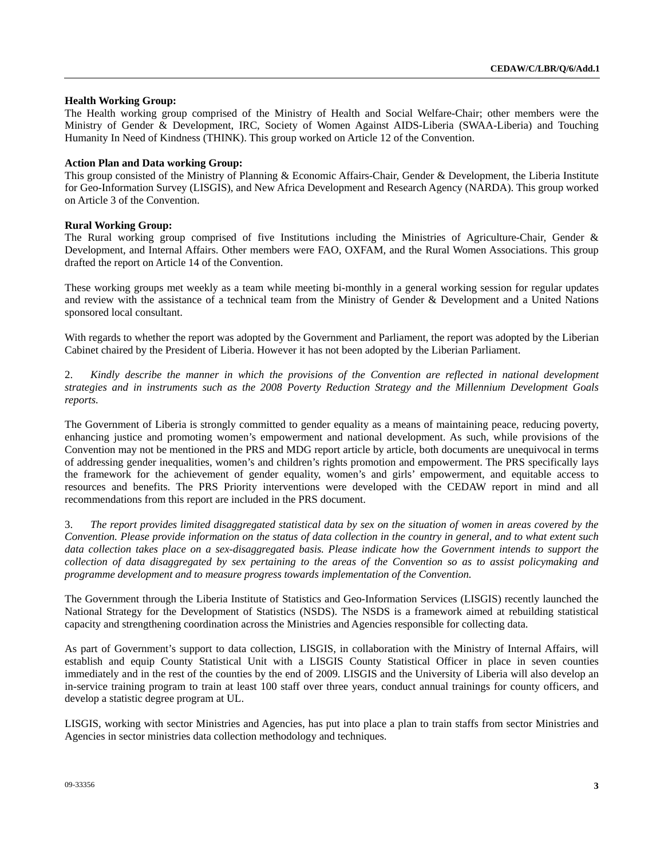# **Health Working Group:**

The Health working group comprised of the Ministry of Health and Social Welfare-Chair; other members were the Ministry of Gender & Development, IRC, Society of Women Against AIDS-Liberia (SWAA-Liberia) and Touching Humanity In Need of Kindness (THINK). This group worked on Article 12 of the Convention.

# **Action Plan and Data working Group:**

This group consisted of the Ministry of Planning & Economic Affairs-Chair, Gender & Development, the Liberia Institute for Geo-Information Survey (LISGIS), and New Africa Development and Research Agency (NARDA). This group worked on Article 3 of the Convention.

# **Rural Working Group:**

The Rural working group comprised of five Institutions including the Ministries of Agriculture-Chair, Gender & Development, and Internal Affairs. Other members were FAO, OXFAM, and the Rural Women Associations. This group drafted the report on Article 14 of the Convention.

These working groups met weekly as a team while meeting bi-monthly in a general working session for regular updates and review with the assistance of a technical team from the Ministry of Gender & Development and a United Nations sponsored local consultant.

With regards to whether the report was adopted by the Government and Parliament, the report was adopted by the Liberian Cabinet chaired by the President of Liberia. However it has not been adopted by the Liberian Parliament.

2. *Kindly describe the manner in which the provisions of the Convention are reflected in national development strategies and in instruments such as the 2008 Poverty Reduction Strategy and the Millennium Development Goals reports.* 

The Government of Liberia is strongly committed to gender equality as a means of maintaining peace, reducing poverty, enhancing justice and promoting women's empowerment and national development. As such, while provisions of the Convention may not be mentioned in the PRS and MDG report article by article, both documents are unequivocal in terms of addressing gender inequalities, women's and children's rights promotion and empowerment. The PRS specifically lays the framework for the achievement of gender equality, women's and girls' empowerment, and equitable access to resources and benefits. The PRS Priority interventions were developed with the CEDAW report in mind and all recommendations from this report are included in the PRS document.

3. *The report provides limited disaggregated statistical data by sex on the situation of women in areas covered by the Convention. Please provide information on the status of data collection in the country in general, and to what extent such*  data collection takes place on a sex-disaggregated basis. Please indicate how the Government intends to support the *collection of data disaggregated by sex pertaining to the areas of the Convention so as to assist policymaking and programme development and to measure progress towards implementation of the Convention.* 

The Government through the Liberia Institute of Statistics and Geo-Information Services (LISGIS) recently launched the National Strategy for the Development of Statistics (NSDS). The NSDS is a framework aimed at rebuilding statistical capacity and strengthening coordination across the Ministries and Agencies responsible for collecting data.

As part of Government's support to data collection, LISGIS, in collaboration with the Ministry of Internal Affairs, will establish and equip County Statistical Unit with a LISGIS County Statistical Officer in place in seven counties immediately and in the rest of the counties by the end of 2009. LISGIS and the University of Liberia will also develop an in-service training program to train at least 100 staff over three years, conduct annual trainings for county officers, and develop a statistic degree program at UL.

LISGIS, working with sector Ministries and Agencies, has put into place a plan to train staffs from sector Ministries and Agencies in sector ministries data collection methodology and techniques.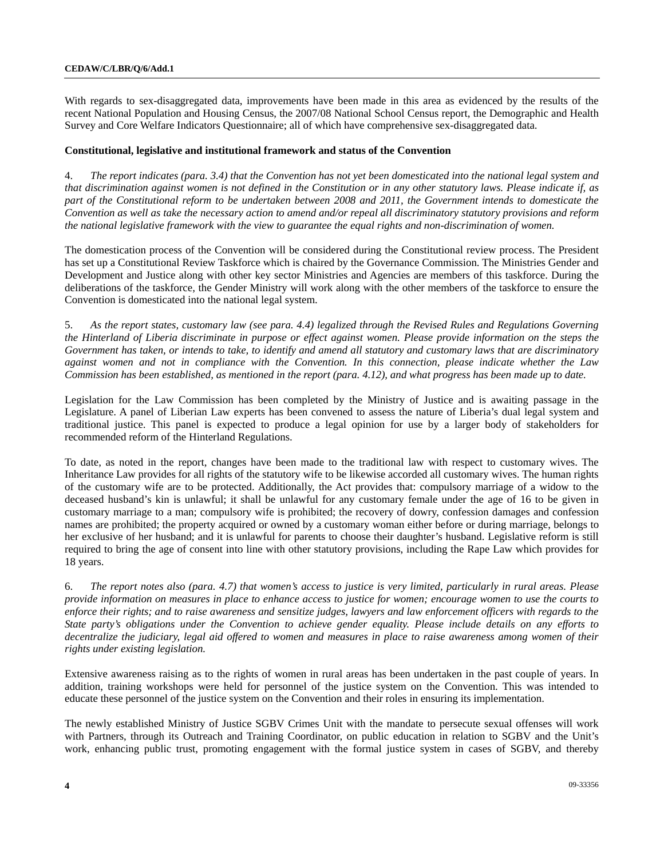With regards to sex-disaggregated data, improvements have been made in this area as evidenced by the results of the recent National Population and Housing Census, the 2007/08 National School Census report, the Demographic and Health Survey and Core Welfare Indicators Questionnaire; all of which have comprehensive sex-disaggregated data.

# **Constitutional, legislative and institutional framework and status of the Convention**

4. *The report indicates (para. 3.4) that the Convention has not yet been domesticated into the national legal system and that discrimination against women is not defined in the Constitution or in any other statutory laws. Please indicate if, as part of the Constitutional reform to be undertaken between 2008 and 2011, the Government intends to domesticate the Convention as well as take the necessary action to amend and/or repeal all discriminatory statutory provisions and reform the national legislative framework with the view to guarantee the equal rights and non-discrimination of women.* 

The domestication process of the Convention will be considered during the Constitutional review process. The President has set up a Constitutional Review Taskforce which is chaired by the Governance Commission. The Ministries Gender and Development and Justice along with other key sector Ministries and Agencies are members of this taskforce. During the deliberations of the taskforce, the Gender Ministry will work along with the other members of the taskforce to ensure the Convention is domesticated into the national legal system.

5. *As the report states, customary law (see para. 4.4) legalized through the Revised Rules and Regulations Governing the Hinterland of Liberia discriminate in purpose or effect against women. Please provide information on the steps the Government has taken, or intends to take, to identify and amend all statutory and customary laws that are discriminatory against women and not in compliance with the Convention. In this connection, please indicate whether the Law Commission has been established, as mentioned in the report (para. 4.12), and what progress has been made up to date.* 

Legislation for the Law Commission has been completed by the Ministry of Justice and is awaiting passage in the Legislature. A panel of Liberian Law experts has been convened to assess the nature of Liberia's dual legal system and traditional justice. This panel is expected to produce a legal opinion for use by a larger body of stakeholders for recommended reform of the Hinterland Regulations.

To date, as noted in the report, changes have been made to the traditional law with respect to customary wives. The Inheritance Law provides for all rights of the statutory wife to be likewise accorded all customary wives. The human rights of the customary wife are to be protected. Additionally, the Act provides that: compulsory marriage of a widow to the deceased husband's kin is unlawful; it shall be unlawful for any customary female under the age of 16 to be given in customary marriage to a man; compulsory wife is prohibited; the recovery of dowry, confession damages and confession names are prohibited; the property acquired or owned by a customary woman either before or during marriage, belongs to her exclusive of her husband; and it is unlawful for parents to choose their daughter's husband. Legislative reform is still required to bring the age of consent into line with other statutory provisions, including the Rape Law which provides for 18 years.

6. *The report notes also (para. 4.7) that women's access to justice is very limited, particularly in rural areas. Please provide information on measures in place to enhance access to justice for women; encourage women to use the courts to enforce their rights; and to raise awareness and sensitize judges, lawyers and law enforcement officers with regards to the State party's obligations under the Convention to achieve gender equality. Please include details on any efforts to decentralize the judiciary, legal aid offered to women and measures in place to raise awareness among women of their rights under existing legislation.* 

Extensive awareness raising as to the rights of women in rural areas has been undertaken in the past couple of years. In addition, training workshops were held for personnel of the justice system on the Convention. This was intended to educate these personnel of the justice system on the Convention and their roles in ensuring its implementation.

The newly established Ministry of Justice SGBV Crimes Unit with the mandate to persecute sexual offenses will work with Partners, through its Outreach and Training Coordinator, on public education in relation to SGBV and the Unit's work, enhancing public trust, promoting engagement with the formal justice system in cases of SGBV, and thereby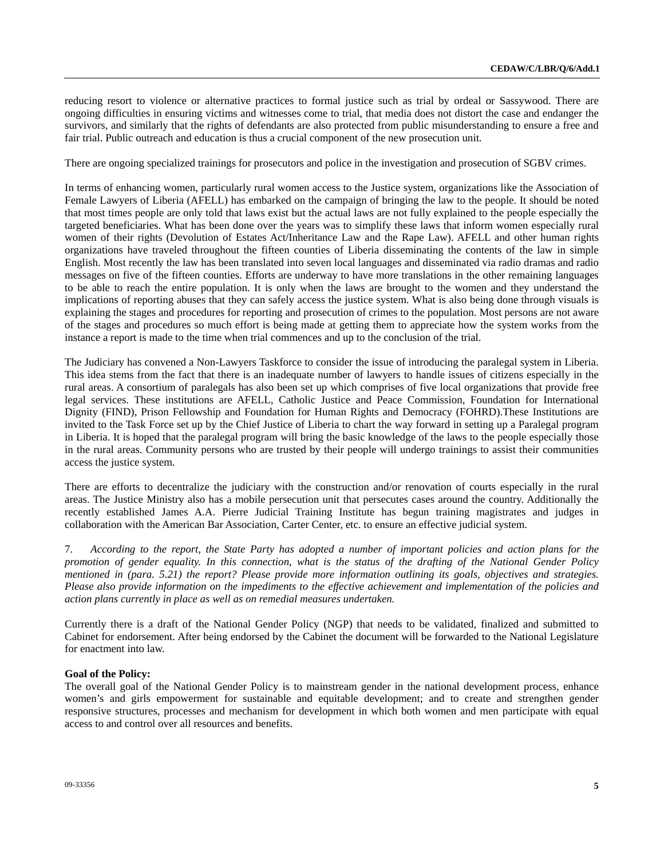reducing resort to violence or alternative practices to formal justice such as trial by ordeal or Sassywood. There are ongoing difficulties in ensuring victims and witnesses come to trial, that media does not distort the case and endanger the survivors, and similarly that the rights of defendants are also protected from public misunderstanding to ensure a free and fair trial. Public outreach and education is thus a crucial component of the new prosecution unit.

There are ongoing specialized trainings for prosecutors and police in the investigation and prosecution of SGBV crimes.

In terms of enhancing women, particularly rural women access to the Justice system, organizations like the Association of Female Lawyers of Liberia (AFELL) has embarked on the campaign of bringing the law to the people. It should be noted that most times people are only told that laws exist but the actual laws are not fully explained to the people especially the targeted beneficiaries. What has been done over the years was to simplify these laws that inform women especially rural women of their rights (Devolution of Estates Act/Inheritance Law and the Rape Law). AFELL and other human rights organizations have traveled throughout the fifteen counties of Liberia disseminating the contents of the law in simple English. Most recently the law has been translated into seven local languages and disseminated via radio dramas and radio messages on five of the fifteen counties. Efforts are underway to have more translations in the other remaining languages to be able to reach the entire population. It is only when the laws are brought to the women and they understand the implications of reporting abuses that they can safely access the justice system. What is also being done through visuals is explaining the stages and procedures for reporting and prosecution of crimes to the population. Most persons are not aware of the stages and procedures so much effort is being made at getting them to appreciate how the system works from the instance a report is made to the time when trial commences and up to the conclusion of the trial.

The Judiciary has convened a Non-Lawyers Taskforce to consider the issue of introducing the paralegal system in Liberia. This idea stems from the fact that there is an inadequate number of lawyers to handle issues of citizens especially in the rural areas. A consortium of paralegals has also been set up which comprises of five local organizations that provide free legal services. These institutions are AFELL, Catholic Justice and Peace Commission, Foundation for International Dignity (FIND), Prison Fellowship and Foundation for Human Rights and Democracy (FOHRD).These Institutions are invited to the Task Force set up by the Chief Justice of Liberia to chart the way forward in setting up a Paralegal program in Liberia. It is hoped that the paralegal program will bring the basic knowledge of the laws to the people especially those in the rural areas. Community persons who are trusted by their people will undergo trainings to assist their communities access the justice system.

There are efforts to decentralize the judiciary with the construction and/or renovation of courts especially in the rural areas. The Justice Ministry also has a mobile persecution unit that persecutes cases around the country. Additionally the recently established James A.A. Pierre Judicial Training Institute has begun training magistrates and judges in collaboration with the American Bar Association, Carter Center, etc. to ensure an effective judicial system.

7. *According to the report, the State Party has adopted a number of important policies and action plans for the promotion of gender equality. In this connection, what is the status of the drafting of the National Gender Policy mentioned in (para. 5.21) the report? Please provide more information outlining its goals, objectives and strategies. Please also provide information on the impediments to the effective achievement and implementation of the policies and action plans currently in place as well as on remedial measures undertaken.* 

Currently there is a draft of the National Gender Policy (NGP) that needs to be validated, finalized and submitted to Cabinet for endorsement. After being endorsed by the Cabinet the document will be forwarded to the National Legislature for enactment into law.

# **Goal of the Policy:**

The overall goal of the National Gender Policy is to mainstream gender in the national development process, enhance women's and girls empowerment for sustainable and equitable development; and to create and strengthen gender responsive structures, processes and mechanism for development in which both women and men participate with equal access to and control over all resources and benefits.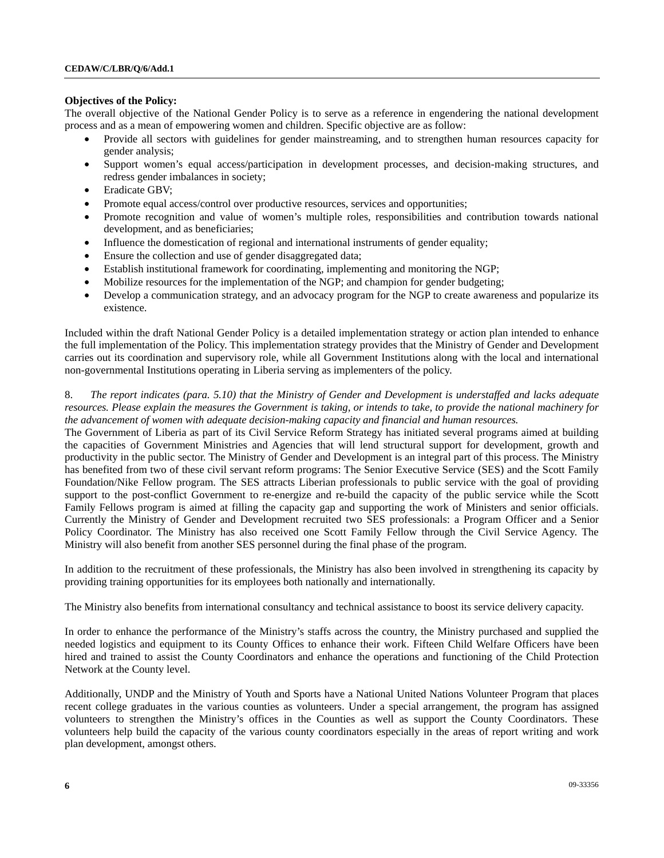# **Objectives of the Policy:**

The overall objective of the National Gender Policy is to serve as a reference in engendering the national development process and as a mean of empowering women and children. Specific objective are as follow:

- Provide all sectors with guidelines for gender mainstreaming, and to strengthen human resources capacity for gender analysis;
- Support women's equal access/participation in development processes, and decision-making structures, and redress gender imbalances in society;
- Eradicate GBV;
- Promote equal access/control over productive resources, services and opportunities;
- Promote recognition and value of women's multiple roles, responsibilities and contribution towards national development, and as beneficiaries;
- Influence the domestication of regional and international instruments of gender equality;
- Ensure the collection and use of gender disaggregated data;
- Establish institutional framework for coordinating, implementing and monitoring the NGP;
- Mobilize resources for the implementation of the NGP; and champion for gender budgeting;
- Develop a communication strategy, and an advocacy program for the NGP to create awareness and popularize its existence.

Included within the draft National Gender Policy is a detailed implementation strategy or action plan intended to enhance the full implementation of the Policy. This implementation strategy provides that the Ministry of Gender and Development carries out its coordination and supervisory role, while all Government Institutions along with the local and international non-governmental Institutions operating in Liberia serving as implementers of the policy.

# 8. *The report indicates (para. 5.10) that the Ministry of Gender and Development is understaffed and lacks adequate resources. Please explain the measures the Government is taking, or intends to take, to provide the national machinery for the advancement of women with adequate decision-making capacity and financial and human resources.*

The Government of Liberia as part of its Civil Service Reform Strategy has initiated several programs aimed at building the capacities of Government Ministries and Agencies that will lend structural support for development, growth and productivity in the public sector. The Ministry of Gender and Development is an integral part of this process. The Ministry has benefited from two of these civil servant reform programs: The Senior Executive Service (SES) and the Scott Family Foundation/Nike Fellow program. The SES attracts Liberian professionals to public service with the goal of providing support to the post-conflict Government to re-energize and re-build the capacity of the public service while the Scott Family Fellows program is aimed at filling the capacity gap and supporting the work of Ministers and senior officials. Currently the Ministry of Gender and Development recruited two SES professionals: a Program Officer and a Senior Policy Coordinator. The Ministry has also received one Scott Family Fellow through the Civil Service Agency. The Ministry will also benefit from another SES personnel during the final phase of the program.

In addition to the recruitment of these professionals, the Ministry has also been involved in strengthening its capacity by providing training opportunities for its employees both nationally and internationally.

The Ministry also benefits from international consultancy and technical assistance to boost its service delivery capacity.

In order to enhance the performance of the Ministry's staffs across the country, the Ministry purchased and supplied the needed logistics and equipment to its County Offices to enhance their work. Fifteen Child Welfare Officers have been hired and trained to assist the County Coordinators and enhance the operations and functioning of the Child Protection Network at the County level.

Additionally, UNDP and the Ministry of Youth and Sports have a National United Nations Volunteer Program that places recent college graduates in the various counties as volunteers. Under a special arrangement, the program has assigned volunteers to strengthen the Ministry's offices in the Counties as well as support the County Coordinators. These volunteers help build the capacity of the various county coordinators especially in the areas of report writing and work plan development, amongst others.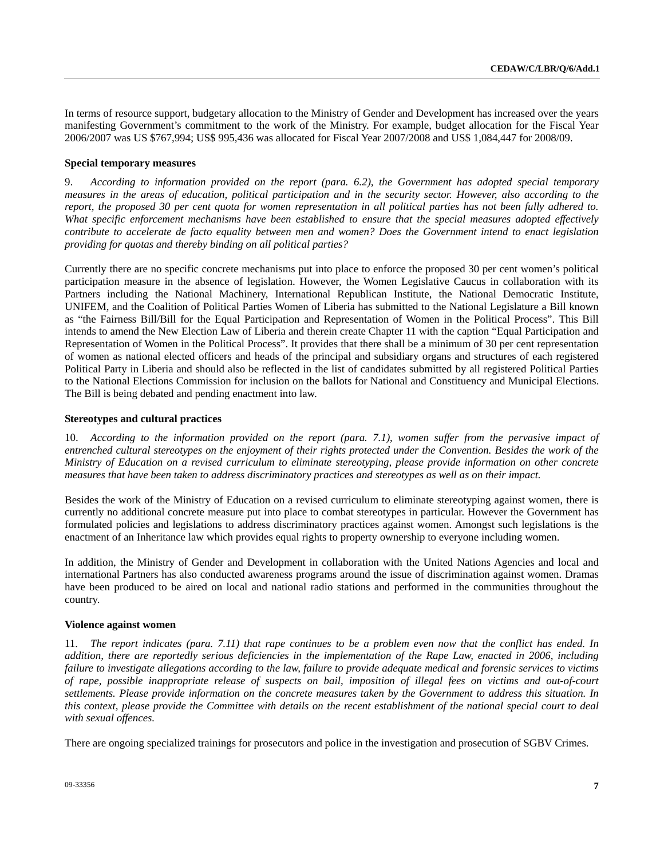In terms of resource support, budgetary allocation to the Ministry of Gender and Development has increased over the years manifesting Government's commitment to the work of the Ministry. For example, budget allocation for the Fiscal Year 2006/2007 was US \$767,994; US\$ 995,436 was allocated for Fiscal Year 2007/2008 and US\$ 1,084,447 for 2008/09.

#### **Special temporary measures**

9. *According to information provided on the report (para. 6.2), the Government has adopted special temporary measures in the areas of education, political participation and in the security sector. However, also according to the report, the proposed 30 per cent quota for women representation in all political parties has not been fully adhered to. What specific enforcement mechanisms have been established to ensure that the special measures adopted effectively contribute to accelerate de facto equality between men and women? Does the Government intend to enact legislation providing for quotas and thereby binding on all political parties?* 

Currently there are no specific concrete mechanisms put into place to enforce the proposed 30 per cent women's political participation measure in the absence of legislation. However, the Women Legislative Caucus in collaboration with its Partners including the National Machinery, International Republican Institute, the National Democratic Institute, UNIFEM, and the Coalition of Political Parties Women of Liberia has submitted to the National Legislature a Bill known as "the Fairness Bill/Bill for the Equal Participation and Representation of Women in the Political Process". This Bill intends to amend the New Election Law of Liberia and therein create Chapter 11 with the caption "Equal Participation and Representation of Women in the Political Process". It provides that there shall be a minimum of 30 per cent representation of women as national elected officers and heads of the principal and subsidiary organs and structures of each registered Political Party in Liberia and should also be reflected in the list of candidates submitted by all registered Political Parties to the National Elections Commission for inclusion on the ballots for National and Constituency and Municipal Elections. The Bill is being debated and pending enactment into law.

#### **Stereotypes and cultural practices**

10. *According to the information provided on the report (para. 7.1), women suffer from the pervasive impact of entrenched cultural stereotypes on the enjoyment of their rights protected under the Convention. Besides the work of the Ministry of Education on a revised curriculum to eliminate stereotyping, please provide information on other concrete measures that have been taken to address discriminatory practices and stereotypes as well as on their impact.* 

Besides the work of the Ministry of Education on a revised curriculum to eliminate stereotyping against women, there is currently no additional concrete measure put into place to combat stereotypes in particular. However the Government has formulated policies and legislations to address discriminatory practices against women. Amongst such legislations is the enactment of an Inheritance law which provides equal rights to property ownership to everyone including women.

In addition, the Ministry of Gender and Development in collaboration with the United Nations Agencies and local and international Partners has also conducted awareness programs around the issue of discrimination against women. Dramas have been produced to be aired on local and national radio stations and performed in the communities throughout the country.

#### **Violence against women**

11. *The report indicates (para. 7.11) that rape continues to be a problem even now that the conflict has ended. In addition, there are reportedly serious deficiencies in the implementation of the Rape Law, enacted in 2006, including failure to investigate allegations according to the law, failure to provide adequate medical and forensic services to victims of rape, possible inappropriate release of suspects on bail, imposition of illegal fees on victims and out-of-court settlements. Please provide information on the concrete measures taken by the Government to address this situation. In this context, please provide the Committee with details on the recent establishment of the national special court to deal with sexual offences.* 

There are ongoing specialized trainings for prosecutors and police in the investigation and prosecution of SGBV Crimes.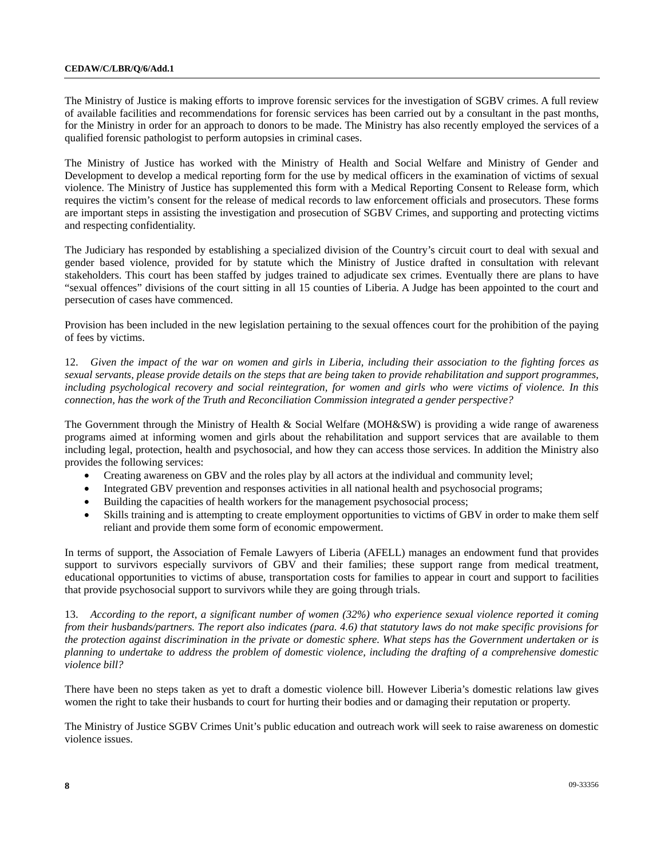The Ministry of Justice is making efforts to improve forensic services for the investigation of SGBV crimes. A full review of available facilities and recommendations for forensic services has been carried out by a consultant in the past months, for the Ministry in order for an approach to donors to be made. The Ministry has also recently employed the services of a qualified forensic pathologist to perform autopsies in criminal cases.

The Ministry of Justice has worked with the Ministry of Health and Social Welfare and Ministry of Gender and Development to develop a medical reporting form for the use by medical officers in the examination of victims of sexual violence. The Ministry of Justice has supplemented this form with a Medical Reporting Consent to Release form, which requires the victim's consent for the release of medical records to law enforcement officials and prosecutors. These forms are important steps in assisting the investigation and prosecution of SGBV Crimes, and supporting and protecting victims and respecting confidentiality.

The Judiciary has responded by establishing a specialized division of the Country's circuit court to deal with sexual and gender based violence, provided for by statute which the Ministry of Justice drafted in consultation with relevant stakeholders. This court has been staffed by judges trained to adjudicate sex crimes. Eventually there are plans to have "sexual offences" divisions of the court sitting in all 15 counties of Liberia. A Judge has been appointed to the court and persecution of cases have commenced.

Provision has been included in the new legislation pertaining to the sexual offences court for the prohibition of the paying of fees by victims.

12. *Given the impact of the war on women and girls in Liberia, including their association to the fighting forces as sexual servants, please provide details on the steps that are being taken to provide rehabilitation and support programmes, including psychological recovery and social reintegration, for women and girls who were victims of violence. In this connection, has the work of the Truth and Reconciliation Commission integrated a gender perspective?* 

The Government through the Ministry of Health & Social Welfare (MOH&SW) is providing a wide range of awareness programs aimed at informing women and girls about the rehabilitation and support services that are available to them including legal, protection, health and psychosocial, and how they can access those services. In addition the Ministry also provides the following services:

- Creating awareness on GBV and the roles play by all actors at the individual and community level;
- Integrated GBV prevention and responses activities in all national health and psychosocial programs;
- Building the capacities of health workers for the management psychosocial process;
- Skills training and is attempting to create employment opportunities to victims of GBV in order to make them self reliant and provide them some form of economic empowerment.

In terms of support, the Association of Female Lawyers of Liberia (AFELL) manages an endowment fund that provides support to survivors especially survivors of GBV and their families; these support range from medical treatment, educational opportunities to victims of abuse, transportation costs for families to appear in court and support to facilities that provide psychosocial support to survivors while they are going through trials.

13. *According to the report, a significant number of women (32%) who experience sexual violence reported it coming from their husbands/partners. The report also indicates (para. 4.6) that statutory laws do not make specific provisions for the protection against discrimination in the private or domestic sphere. What steps has the Government undertaken or is planning to undertake to address the problem of domestic violence, including the drafting of a comprehensive domestic violence bill?* 

There have been no steps taken as yet to draft a domestic violence bill. However Liberia's domestic relations law gives women the right to take their husbands to court for hurting their bodies and or damaging their reputation or property.

The Ministry of Justice SGBV Crimes Unit's public education and outreach work will seek to raise awareness on domestic violence issues.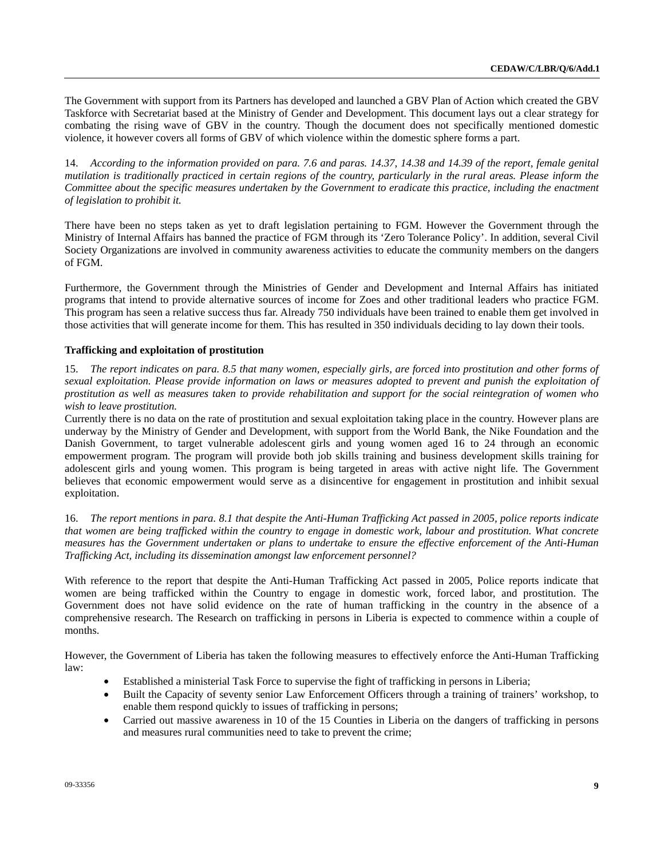The Government with support from its Partners has developed and launched a GBV Plan of Action which created the GBV Taskforce with Secretariat based at the Ministry of Gender and Development. This document lays out a clear strategy for combating the rising wave of GBV in the country. Though the document does not specifically mentioned domestic violence, it however covers all forms of GBV of which violence within the domestic sphere forms a part.

14. *According to the information provided on para. 7.6 and paras. 14.37, 14.38 and 14.39 of the report, female genital mutilation is traditionally practiced in certain regions of the country, particularly in the rural areas. Please inform the Committee about the specific measures undertaken by the Government to eradicate this practice, including the enactment of legislation to prohibit it.* 

There have been no steps taken as yet to draft legislation pertaining to FGM. However the Government through the Ministry of Internal Affairs has banned the practice of FGM through its 'Zero Tolerance Policy'. In addition, several Civil Society Organizations are involved in community awareness activities to educate the community members on the dangers of FGM.

Furthermore, the Government through the Ministries of Gender and Development and Internal Affairs has initiated programs that intend to provide alternative sources of income for Zoes and other traditional leaders who practice FGM. This program has seen a relative success thus far. Already 750 individuals have been trained to enable them get involved in those activities that will generate income for them. This has resulted in 350 individuals deciding to lay down their tools.

# **Trafficking and exploitation of prostitution**

15. *The report indicates on para. 8.5 that many women, especially girls, are forced into prostitution and other forms of sexual exploitation. Please provide information on laws or measures adopted to prevent and punish the exploitation of prostitution as well as measures taken to provide rehabilitation and support for the social reintegration of women who wish to leave prostitution.* 

Currently there is no data on the rate of prostitution and sexual exploitation taking place in the country. However plans are underway by the Ministry of Gender and Development, with support from the World Bank, the Nike Foundation and the Danish Government, to target vulnerable adolescent girls and young women aged 16 to 24 through an economic empowerment program. The program will provide both job skills training and business development skills training for adolescent girls and young women. This program is being targeted in areas with active night life. The Government believes that economic empowerment would serve as a disincentive for engagement in prostitution and inhibit sexual exploitation.

16. *The report mentions in para. 8.1 that despite the Anti-Human Trafficking Act passed in 2005, police reports indicate that women are being trafficked within the country to engage in domestic work, labour and prostitution. What concrete measures has the Government undertaken or plans to undertake to ensure the effective enforcement of the Anti-Human Trafficking Act, including its dissemination amongst law enforcement personnel?* 

With reference to the report that despite the Anti-Human Trafficking Act passed in 2005, Police reports indicate that women are being trafficked within the Country to engage in domestic work, forced labor, and prostitution. The Government does not have solid evidence on the rate of human trafficking in the country in the absence of a comprehensive research. The Research on trafficking in persons in Liberia is expected to commence within a couple of months.

However, the Government of Liberia has taken the following measures to effectively enforce the Anti-Human Trafficking law:

- Established a ministerial Task Force to supervise the fight of trafficking in persons in Liberia;
- Built the Capacity of seventy senior Law Enforcement Officers through a training of trainers' workshop, to enable them respond quickly to issues of trafficking in persons;
- Carried out massive awareness in 10 of the 15 Counties in Liberia on the dangers of trafficking in persons and measures rural communities need to take to prevent the crime;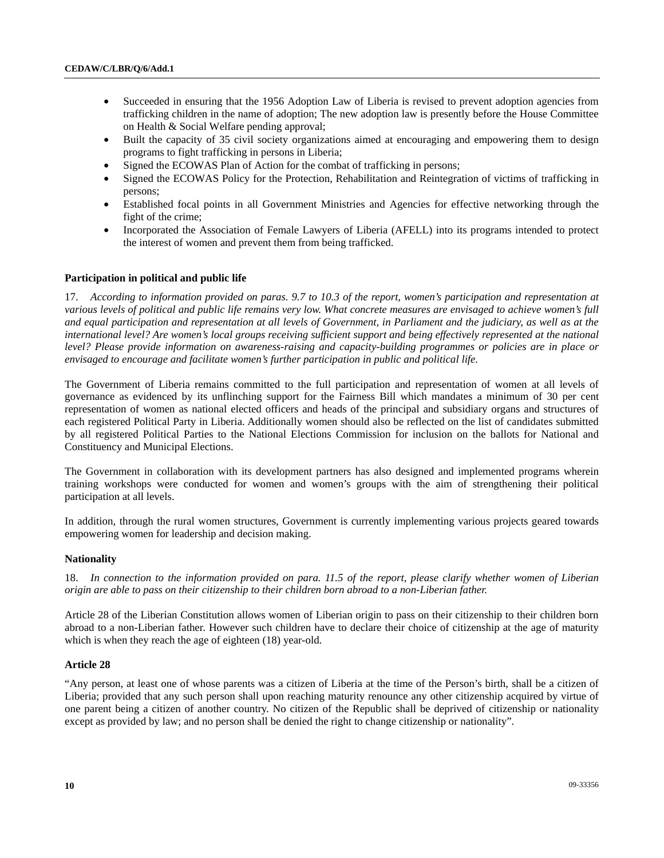- Succeeded in ensuring that the 1956 Adoption Law of Liberia is revised to prevent adoption agencies from trafficking children in the name of adoption; The new adoption law is presently before the House Committee on Health & Social Welfare pending approval;
- Built the capacity of 35 civil society organizations aimed at encouraging and empowering them to design programs to fight trafficking in persons in Liberia;
- Signed the ECOWAS Plan of Action for the combat of trafficking in persons;
- Signed the ECOWAS Policy for the Protection, Rehabilitation and Reintegration of victims of trafficking in persons;
- Established focal points in all Government Ministries and Agencies for effective networking through the fight of the crime;
- Incorporated the Association of Female Lawyers of Liberia (AFELL) into its programs intended to protect the interest of women and prevent them from being trafficked.

# **Participation in political and public life**

17. *According to information provided on paras. 9.7 to 10.3 of the report, women's participation and representation at various levels of political and public life remains very low. What concrete measures are envisaged to achieve women's full*  and equal participation and representation at all levels of Government, in Parliament and the judiciary, as well as at the *international level? Are women's local groups receiving sufficient support and being effectively represented at the national level? Please provide information on awareness-raising and capacity-building programmes or policies are in place or envisaged to encourage and facilitate women's further participation in public and political life.* 

The Government of Liberia remains committed to the full participation and representation of women at all levels of governance as evidenced by its unflinching support for the Fairness Bill which mandates a minimum of 30 per cent representation of women as national elected officers and heads of the principal and subsidiary organs and structures of each registered Political Party in Liberia. Additionally women should also be reflected on the list of candidates submitted by all registered Political Parties to the National Elections Commission for inclusion on the ballots for National and Constituency and Municipal Elections.

The Government in collaboration with its development partners has also designed and implemented programs wherein training workshops were conducted for women and women's groups with the aim of strengthening their political participation at all levels.

In addition, through the rural women structures, Government is currently implementing various projects geared towards empowering women for leadership and decision making.

# **Nationality**

18. *In connection to the information provided on para. 11.5 of the report, please clarify whether women of Liberian origin are able to pass on their citizenship to their children born abroad to a non-Liberian father.* 

Article 28 of the Liberian Constitution allows women of Liberian origin to pass on their citizenship to their children born abroad to a non-Liberian father. However such children have to declare their choice of citizenship at the age of maturity which is when they reach the age of eighteen (18) year-old.

# **Article 28**

"Any person, at least one of whose parents was a citizen of Liberia at the time of the Person's birth, shall be a citizen of Liberia; provided that any such person shall upon reaching maturity renounce any other citizenship acquired by virtue of one parent being a citizen of another country. No citizen of the Republic shall be deprived of citizenship or nationality except as provided by law; and no person shall be denied the right to change citizenship or nationality".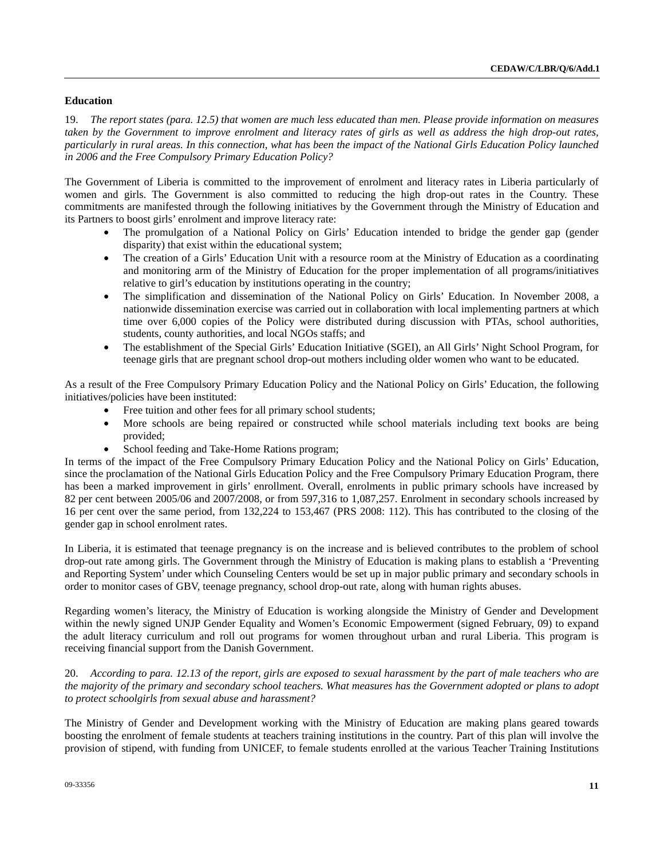# **Education**

19. *The report states (para. 12.5) that women are much less educated than men. Please provide information on measures*  taken by the Government to improve enrolment and literacy rates of girls as well as address the high drop-out rates, *particularly in rural areas. In this connection, what has been the impact of the National Girls Education Policy launched in 2006 and the Free Compulsory Primary Education Policy?* 

The Government of Liberia is committed to the improvement of enrolment and literacy rates in Liberia particularly of women and girls. The Government is also committed to reducing the high drop-out rates in the Country. These commitments are manifested through the following initiatives by the Government through the Ministry of Education and its Partners to boost girls' enrolment and improve literacy rate:

- The promulgation of a National Policy on Girls' Education intended to bridge the gender gap (gender disparity) that exist within the educational system;
- The creation of a Girls' Education Unit with a resource room at the Ministry of Education as a coordinating and monitoring arm of the Ministry of Education for the proper implementation of all programs/initiatives relative to girl's education by institutions operating in the country;
- The simplification and dissemination of the National Policy on Girls' Education. In November 2008, a nationwide dissemination exercise was carried out in collaboration with local implementing partners at which time over 6,000 copies of the Policy were distributed during discussion with PTAs, school authorities, students, county authorities, and local NGOs staffs; and
- The establishment of the Special Girls' Education Initiative (SGEI), an All Girls' Night School Program, for teenage girls that are pregnant school drop-out mothers including older women who want to be educated.

As a result of the Free Compulsory Primary Education Policy and the National Policy on Girls' Education, the following initiatives/policies have been instituted:

- Free tuition and other fees for all primary school students;
- More schools are being repaired or constructed while school materials including text books are being provided;
- School feeding and Take-Home Rations program;

In terms of the impact of the Free Compulsory Primary Education Policy and the National Policy on Girls' Education, since the proclamation of the National Girls Education Policy and the Free Compulsory Primary Education Program, there has been a marked improvement in girls' enrollment. Overall, enrolments in public primary schools have increased by 82 per cent between 2005/06 and 2007/2008, or from 597,316 to 1,087,257. Enrolment in secondary schools increased by 16 per cent over the same period, from 132,224 to 153,467 (PRS 2008: 112). This has contributed to the closing of the gender gap in school enrolment rates.

In Liberia, it is estimated that teenage pregnancy is on the increase and is believed contributes to the problem of school drop-out rate among girls. The Government through the Ministry of Education is making plans to establish a 'Preventing and Reporting System' under which Counseling Centers would be set up in major public primary and secondary schools in order to monitor cases of GBV, teenage pregnancy, school drop-out rate, along with human rights abuses.

Regarding women's literacy, the Ministry of Education is working alongside the Ministry of Gender and Development within the newly signed UNJP Gender Equality and Women's Economic Empowerment (signed February, 09) to expand the adult literacy curriculum and roll out programs for women throughout urban and rural Liberia. This program is receiving financial support from the Danish Government.

20. *According to para. 12.13 of the report, girls are exposed to sexual harassment by the part of male teachers who are the majority of the primary and secondary school teachers. What measures has the Government adopted or plans to adopt to protect schoolgirls from sexual abuse and harassment?* 

The Ministry of Gender and Development working with the Ministry of Education are making plans geared towards boosting the enrolment of female students at teachers training institutions in the country. Part of this plan will involve the provision of stipend, with funding from UNICEF, to female students enrolled at the various Teacher Training Institutions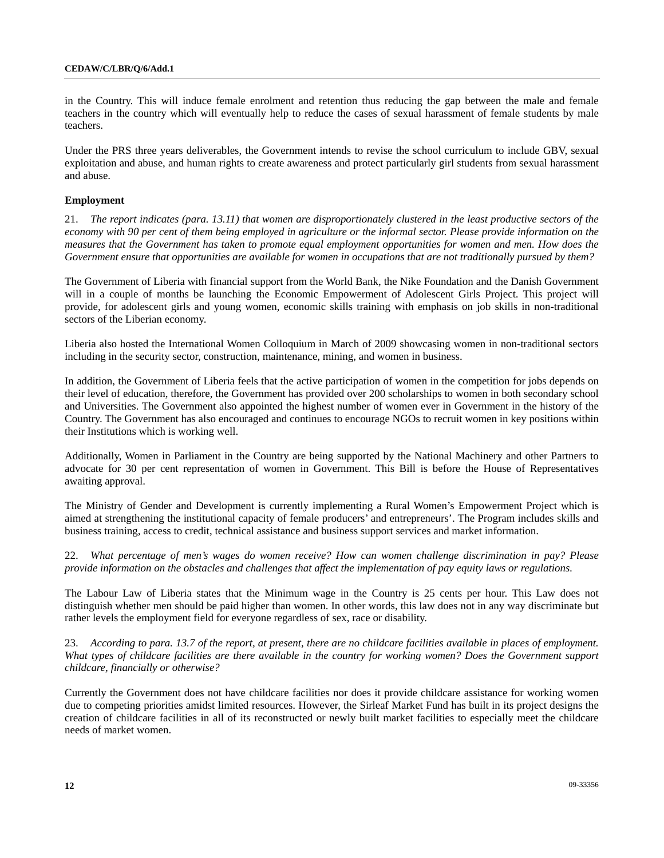in the Country. This will induce female enrolment and retention thus reducing the gap between the male and female teachers in the country which will eventually help to reduce the cases of sexual harassment of female students by male teachers.

Under the PRS three years deliverables, the Government intends to revise the school curriculum to include GBV, sexual exploitation and abuse, and human rights to create awareness and protect particularly girl students from sexual harassment and abuse.

# **Employment**

21. *The report indicates (para. 13.11) that women are disproportionately clustered in the least productive sectors of the economy with 90 per cent of them being employed in agriculture or the informal sector. Please provide information on the measures that the Government has taken to promote equal employment opportunities for women and men. How does the Government ensure that opportunities are available for women in occupations that are not traditionally pursued by them?* 

The Government of Liberia with financial support from the World Bank, the Nike Foundation and the Danish Government will in a couple of months be launching the Economic Empowerment of Adolescent Girls Project. This project will provide, for adolescent girls and young women, economic skills training with emphasis on job skills in non-traditional sectors of the Liberian economy.

Liberia also hosted the International Women Colloquium in March of 2009 showcasing women in non-traditional sectors including in the security sector, construction, maintenance, mining, and women in business.

In addition, the Government of Liberia feels that the active participation of women in the competition for jobs depends on their level of education, therefore, the Government has provided over 200 scholarships to women in both secondary school and Universities. The Government also appointed the highest number of women ever in Government in the history of the Country. The Government has also encouraged and continues to encourage NGOs to recruit women in key positions within their Institutions which is working well.

Additionally, Women in Parliament in the Country are being supported by the National Machinery and other Partners to advocate for 30 per cent representation of women in Government. This Bill is before the House of Representatives awaiting approval.

The Ministry of Gender and Development is currently implementing a Rural Women's Empowerment Project which is aimed at strengthening the institutional capacity of female producers' and entrepreneurs'. The Program includes skills and business training, access to credit, technical assistance and business support services and market information.

22. *What percentage of men's wages do women receive? How can women challenge discrimination in pay? Please provide information on the obstacles and challenges that affect the implementation of pay equity laws or regulations.* 

The Labour Law of Liberia states that the Minimum wage in the Country is 25 cents per hour. This Law does not distinguish whether men should be paid higher than women. In other words, this law does not in any way discriminate but rather levels the employment field for everyone regardless of sex, race or disability.

23. *According to para. 13.7 of the report, at present, there are no childcare facilities available in places of employment.*  What types of childcare facilities are there available in the country for working women? Does the Government support *childcare, financially or otherwise?* 

Currently the Government does not have childcare facilities nor does it provide childcare assistance for working women due to competing priorities amidst limited resources. However, the Sirleaf Market Fund has built in its project designs the creation of childcare facilities in all of its reconstructed or newly built market facilities to especially meet the childcare needs of market women.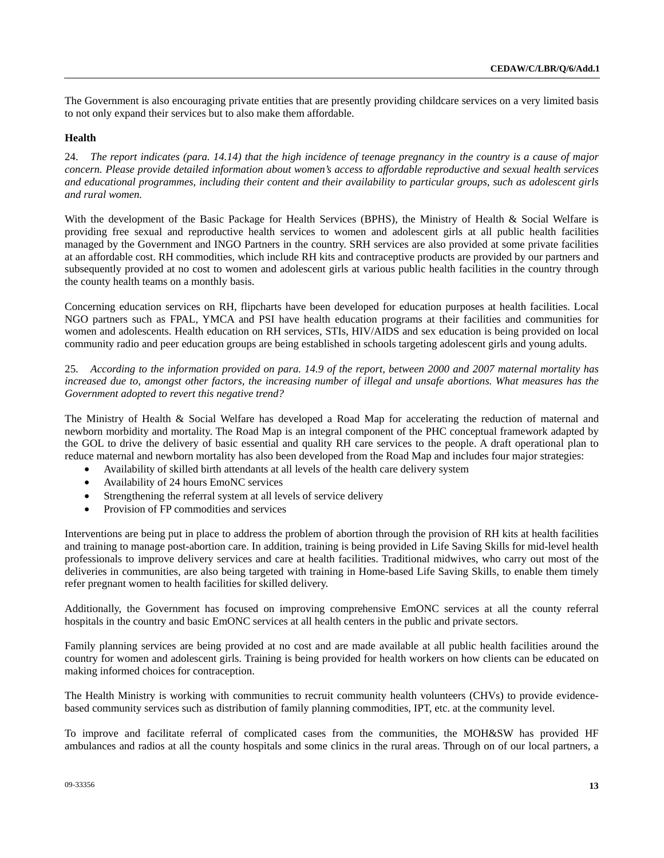The Government is also encouraging private entities that are presently providing childcare services on a very limited basis to not only expand their services but to also make them affordable.

#### **Health**

24. *The report indicates (para. 14.14) that the high incidence of teenage pregnancy in the country is a cause of major concern. Please provide detailed information about women's access to affordable reproductive and sexual health services and educational programmes, including their content and their availability to particular groups, such as adolescent girls and rural women.* 

With the development of the Basic Package for Health Services (BPHS), the Ministry of Health & Social Welfare is providing free sexual and reproductive health services to women and adolescent girls at all public health facilities managed by the Government and INGO Partners in the country. SRH services are also provided at some private facilities at an affordable cost. RH commodities, which include RH kits and contraceptive products are provided by our partners and subsequently provided at no cost to women and adolescent girls at various public health facilities in the country through the county health teams on a monthly basis.

Concerning education services on RH, flipcharts have been developed for education purposes at health facilities. Local NGO partners such as FPAL, YMCA and PSI have health education programs at their facilities and communities for women and adolescents. Health education on RH services, STIs, HIV/AIDS and sex education is being provided on local community radio and peer education groups are being established in schools targeting adolescent girls and young adults.

25. *According to the information provided on para. 14.9 of the report, between 2000 and 2007 maternal mortality has increased due to, amongst other factors, the increasing number of illegal and unsafe abortions. What measures has the Government adopted to revert this negative trend?* 

The Ministry of Health & Social Welfare has developed a Road Map for accelerating the reduction of maternal and newborn morbidity and mortality. The Road Map is an integral component of the PHC conceptual framework adapted by the GOL to drive the delivery of basic essential and quality RH care services to the people. A draft operational plan to reduce maternal and newborn mortality has also been developed from the Road Map and includes four major strategies:

- Availability of skilled birth attendants at all levels of the health care delivery system
- Availability of 24 hours EmoNC services
- Strengthening the referral system at all levels of service delivery
- Provision of FP commodities and services

Interventions are being put in place to address the problem of abortion through the provision of RH kits at health facilities and training to manage post-abortion care. In addition, training is being provided in Life Saving Skills for mid-level health professionals to improve delivery services and care at health facilities. Traditional midwives, who carry out most of the deliveries in communities, are also being targeted with training in Home-based Life Saving Skills, to enable them timely refer pregnant women to health facilities for skilled delivery.

Additionally, the Government has focused on improving comprehensive EmONC services at all the county referral hospitals in the country and basic EmONC services at all health centers in the public and private sectors.

Family planning services are being provided at no cost and are made available at all public health facilities around the country for women and adolescent girls. Training is being provided for health workers on how clients can be educated on making informed choices for contraception.

The Health Ministry is working with communities to recruit community health volunteers (CHVs) to provide evidencebased community services such as distribution of family planning commodities, IPT, etc. at the community level.

To improve and facilitate referral of complicated cases from the communities, the MOH&SW has provided HF ambulances and radios at all the county hospitals and some clinics in the rural areas. Through on of our local partners, a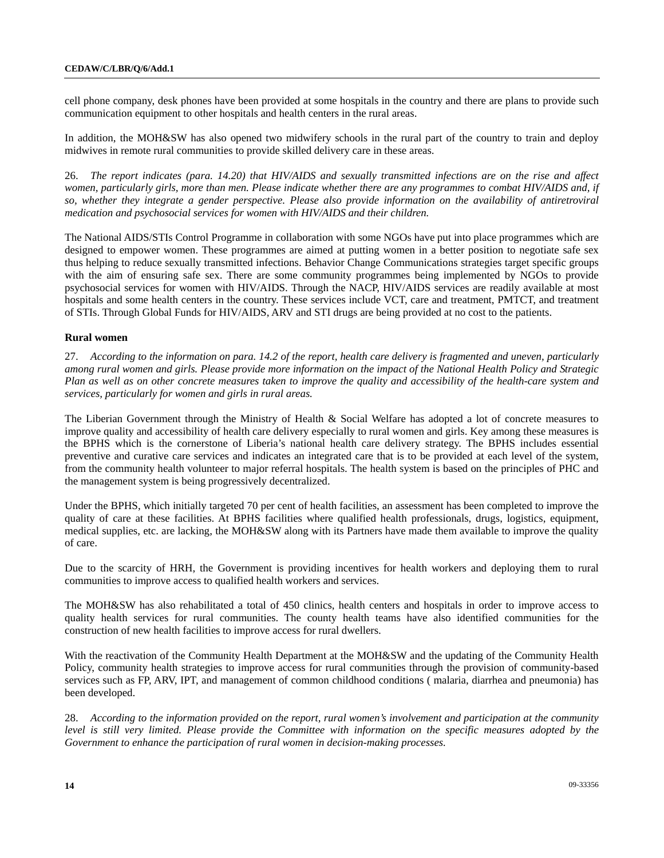cell phone company, desk phones have been provided at some hospitals in the country and there are plans to provide such communication equipment to other hospitals and health centers in the rural areas.

In addition, the MOH&SW has also opened two midwifery schools in the rural part of the country to train and deploy midwives in remote rural communities to provide skilled delivery care in these areas.

26. *The report indicates (para. 14.20) that HIV/AIDS and sexually transmitted infections are on the rise and affect women, particularly girls, more than men. Please indicate whether there are any programmes to combat HIV/AIDS and, if so, whether they integrate a gender perspective. Please also provide information on the availability of antiretroviral medication and psychosocial services for women with HIV/AIDS and their children.* 

The National AIDS/STIs Control Programme in collaboration with some NGOs have put into place programmes which are designed to empower women. These programmes are aimed at putting women in a better position to negotiate safe sex thus helping to reduce sexually transmitted infections. Behavior Change Communications strategies target specific groups with the aim of ensuring safe sex. There are some community programmes being implemented by NGOs to provide psychosocial services for women with HIV/AIDS. Through the NACP, HIV/AIDS services are readily available at most hospitals and some health centers in the country. These services include VCT, care and treatment, PMTCT, and treatment of STIs. Through Global Funds for HIV/AIDS, ARV and STI drugs are being provided at no cost to the patients.

#### **Rural women**

27. *According to the information on para. 14.2 of the report, health care delivery is fragmented and uneven, particularly among rural women and girls. Please provide more information on the impact of the National Health Policy and Strategic Plan as well as on other concrete measures taken to improve the quality and accessibility of the health-care system and services, particularly for women and girls in rural areas.* 

The Liberian Government through the Ministry of Health & Social Welfare has adopted a lot of concrete measures to improve quality and accessibility of health care delivery especially to rural women and girls. Key among these measures is the BPHS which is the cornerstone of Liberia's national health care delivery strategy. The BPHS includes essential preventive and curative care services and indicates an integrated care that is to be provided at each level of the system, from the community health volunteer to major referral hospitals. The health system is based on the principles of PHC and the management system is being progressively decentralized.

Under the BPHS, which initially targeted 70 per cent of health facilities, an assessment has been completed to improve the quality of care at these facilities. At BPHS facilities where qualified health professionals, drugs, logistics, equipment, medical supplies, etc. are lacking, the MOH&SW along with its Partners have made them available to improve the quality of care.

Due to the scarcity of HRH, the Government is providing incentives for health workers and deploying them to rural communities to improve access to qualified health workers and services.

The MOH&SW has also rehabilitated a total of 450 clinics, health centers and hospitals in order to improve access to quality health services for rural communities. The county health teams have also identified communities for the construction of new health facilities to improve access for rural dwellers.

With the reactivation of the Community Health Department at the MOH&SW and the updating of the Community Health Policy, community health strategies to improve access for rural communities through the provision of community-based services such as FP, ARV, IPT, and management of common childhood conditions ( malaria, diarrhea and pneumonia) has been developed.

28. *According to the information provided on the report, rural women's involvement and participation at the community level is still very limited. Please provide the Committee with information on the specific measures adopted by the Government to enhance the participation of rural women in decision-making processes.*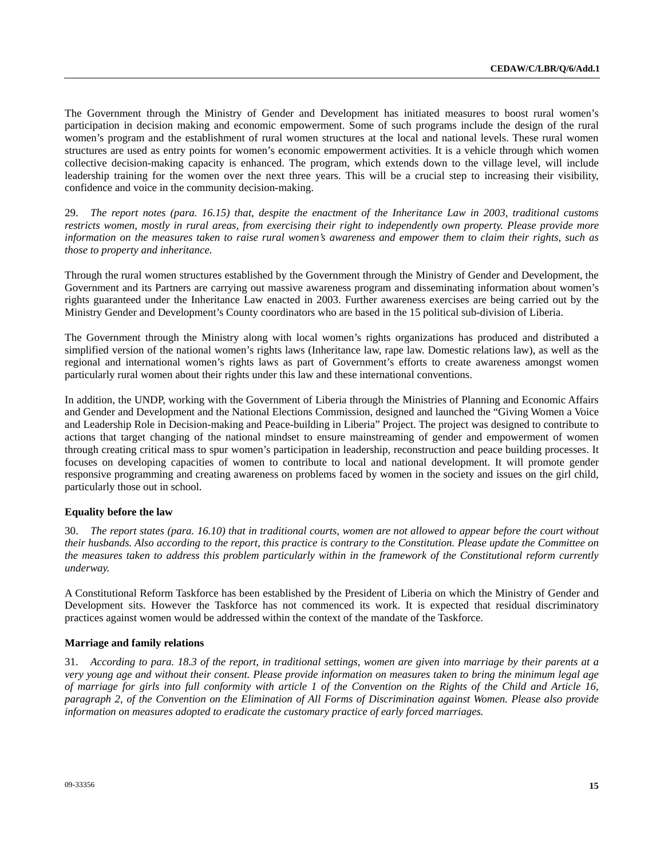The Government through the Ministry of Gender and Development has initiated measures to boost rural women's participation in decision making and economic empowerment. Some of such programs include the design of the rural women's program and the establishment of rural women structures at the local and national levels. These rural women structures are used as entry points for women's economic empowerment activities. It is a vehicle through which women collective decision-making capacity is enhanced. The program, which extends down to the village level, will include leadership training for the women over the next three years. This will be a crucial step to increasing their visibility, confidence and voice in the community decision-making.

29. *The report notes (para. 16.15) that, despite the enactment of the Inheritance Law in 2003, traditional customs restricts women, mostly in rural areas, from exercising their right to independently own property. Please provide more information on the measures taken to raise rural women's awareness and empower them to claim their rights, such as those to property and inheritance.* 

Through the rural women structures established by the Government through the Ministry of Gender and Development, the Government and its Partners are carrying out massive awareness program and disseminating information about women's rights guaranteed under the Inheritance Law enacted in 2003. Further awareness exercises are being carried out by the Ministry Gender and Development's County coordinators who are based in the 15 political sub-division of Liberia.

The Government through the Ministry along with local women's rights organizations has produced and distributed a simplified version of the national women's rights laws (Inheritance law, rape law. Domestic relations law), as well as the regional and international women's rights laws as part of Government's efforts to create awareness amongst women particularly rural women about their rights under this law and these international conventions.

In addition, the UNDP, working with the Government of Liberia through the Ministries of Planning and Economic Affairs and Gender and Development and the National Elections Commission, designed and launched the "Giving Women a Voice and Leadership Role in Decision-making and Peace-building in Liberia" Project. The project was designed to contribute to actions that target changing of the national mindset to ensure mainstreaming of gender and empowerment of women through creating critical mass to spur women's participation in leadership, reconstruction and peace building processes. It focuses on developing capacities of women to contribute to local and national development. It will promote gender responsive programming and creating awareness on problems faced by women in the society and issues on the girl child, particularly those out in school.

# **Equality before the law**

30. *The report states (para. 16.10) that in traditional courts, women are not allowed to appear before the court without their husbands. Also according to the report, this practice is contrary to the Constitution. Please update the Committee on the measures taken to address this problem particularly within in the framework of the Constitutional reform currently underway.* 

A Constitutional Reform Taskforce has been established by the President of Liberia on which the Ministry of Gender and Development sits. However the Taskforce has not commenced its work. It is expected that residual discriminatory practices against women would be addressed within the context of the mandate of the Taskforce.

#### **Marriage and family relations**

31. *According to para. 18.3 of the report, in traditional settings, women are given into marriage by their parents at a very young age and without their consent. Please provide information on measures taken to bring the minimum legal age of marriage for girls into full conformity with article 1 of the Convention on the Rights of the Child and Article 16, paragraph 2, of the Convention on the Elimination of All Forms of Discrimination against Women. Please also provide information on measures adopted to eradicate the customary practice of early forced marriages.*